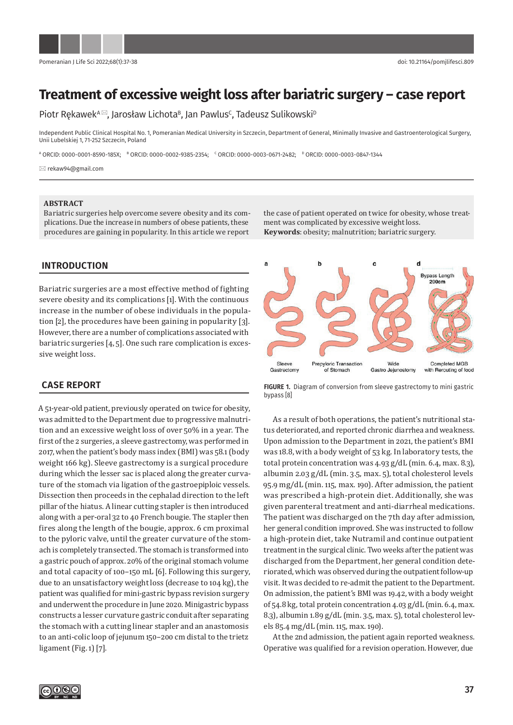

# **Treatment of excessive weight loss after bariatric surgery – case report**

Piotr Rękawek<sup>A⊠</sup>, Jarosław Lichota<sup>B</sup>, Jan Pawlus<sup>c</sup>, Tadeusz Sulikowski<sup>D</sup>

Independent Public Clinical Hospital No. 1, Pomeranian Medical University in Szczecin, Department of General, Minimally Invasive and Gastroenterological Surgery, Unii Lubelskiej 1, 71-252 Szczecin, Poland

A ORCID: 0000-0001-8590-185X; B ORCID: 0000-0002-9385-2354; C ORCID: 0000-0003-0671-2482; D ORCID: 0000-0003-0847-1344

rekaw94@gmail.com

#### **ABSTRACT**

Bariatric surgeries help overcome severe obesity and its complications. Due the increase in numbers of obese patients, these procedures are gaining in popularity. In this article we report

**INTRODUCTION** 

Bariatric surgeries are a most effective method of fighting severe obesity and its complications [1]. With the continuous increase in the number of obese individuals in the population [2], the procedures have been gaining in popularity [3]. However, there are a number of complications associated with bariatric surgeries [4, 5]. One such rare complication is excessive weight loss.

#### **CASE REPORT**

A 51-year-old patient, previously operated on twice for obesity, was admitted to the Department due to progressive malnutrition and an excessive weight loss of over 50% in a year. The first of the 2 surgeries, a sleeve gastrectomy, was performed in 2017, when the patient's body mass index (BMI) was 58.1 (body weight 166 kg). Sleeve gastrectomy is a surgical procedure during which the lesser sac is placed along the greater curvature of the stomach via ligation of the gastroepiploic vessels. Dissection then proceeds in the cephalad direction to the left pillar of the hiatus. A linear cutting stapler is then introduced along with a per-oral 32 to 40 French bougie. The stapler then fires along the length of the bougie, approx. 6 cm proximal to the pyloric valve, until the greater curvature of the stomach is completely transected. The stomach is transformed into a gastric pouch of approx. 20% of the original stomach volume and total capacity of 100–150 mL [6]. Following this surgery, due to an unsatisfactory weight loss (decrease to 104 kg), the patient was qualified for mini-gastric bypass revision surgery and underwent the procedure in June 2020. Minigastric bypass constructs a lesser curvature gastric conduit after separating the stomach with a cutting linear stapler and an anastomosis to an anti-colic loop of jejunum 150–200 cm distal to the trietz ligament (Fig. 1) [7].

the case of patient operated on twice for obesity, whose treatment was complicated by excessive weight loss. **Keywords**: obesity; malnutrition; bariatric surgery.



**FIGURE 1.** Diagram of conversion from sleeve gastrectomy to mini gastric bypass [8]

As a result of both operations, the patient's nutritional status deteriorated, and reported chronic diarrhea and weakness. Upon admission to the Department in 2021, the patient's BMI was 18.8, with a body weight of 53 kg. In laboratory tests, the total protein concentration was 4.93 g/dL (min. 6.4, max. 8.3), albumin 2.03 g/dL (min. 3.5, max. 5), total cholesterol levels 95.9 mg/dL (min. 115, max. 190). After admission, the patient was prescribed a high-protein diet. Additionally, she was given parenteral treatment and anti-diarrheal medications. The patient was discharged on the 7th day after admission, her general condition improved. She was instructed to follow a high-protein diet, take Nutramil and continue outpatient treatment in the surgical clinic. Two weeks after the patient was discharged from the Department, her general condition deteriorated, which was observed during the outpatient follow-up visit. It was decided to re-admit the patient to the Department. On admission, the patient's BMI was 19.42, with a body weight of 54.8 kg, total protein concentration 4.03 g/dL (min. 6.4, max. 8.3), albumin 1.89 g/dL (min. 3.5, max. 5), total cholesterol levels 85.4 mg/dL (min. 115, max. 190).

At the 2nd admission, the patient again reported weakness. Operative was qualified for a revision operation. However, due